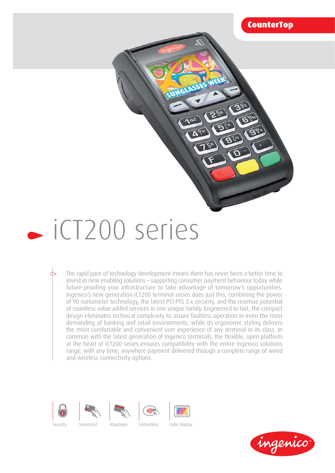

 $\frac{G}{2R}$ 

# iCT200 series

The rapid pace of technology development means there has never been a better time to invest in new enabling solutions – supporting consumer payment behaviour today while future-proofing your infrastructure to take advantage of tomorrow's opportunities. Ingenico's new generation iCT200 terminal series does just this, combining the power of 90 nanometer technology, the latest PCI PTS 3.x security, and the revenue potential of countless value added services in one unique family. Engineered to last, the compact design eliminates technical complexity to assure faultless operation in even the most demanding of banking and retail environments, while its ergonomic styling delivers the most comfortable and convenient user experience of any terminal in its class. In common with the latest generation of Ingenico terminals, the flexible, open platform at the heart of iCT200 series ensures compatibility with the entire Ingenico solutions range, with any time, anywhere payment delivered through a complete range of wired and wireless connectivity options.

**NGLD** 

 $\sqrt{a^2}$ 









Security Smartcard Magstripe Contactless Color Display